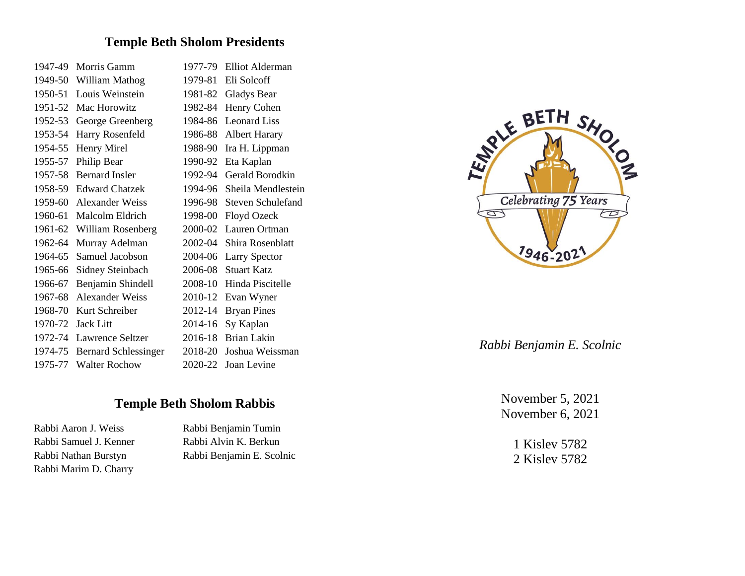# **Temple Beth Sholom Presidents**

| 1947-49 | Morris Gamm                 | 1977-79 | <b>Elliot Alderman</b>   |
|---------|-----------------------------|---------|--------------------------|
| 1949-50 | William Mathog              | 1979-81 | Eli Solcoff              |
| 1950-51 | Louis Weinstein             | 1981-82 | <b>Gladys Bear</b>       |
| 1951-52 | Mac Horowitz                | 1982-84 | Henry Cohen              |
| 1952-53 | George Greenberg            | 1984-86 | <b>Leonard Liss</b>      |
| 1953-54 | Harry Rosenfeld             | 1986-88 | <b>Albert Harary</b>     |
| 1954-55 | Henry Mirel                 | 1988-90 | Ira H. Lippman           |
| 1955-57 | Philip Bear                 | 1990-92 | Eta Kaplan               |
| 1957-58 | <b>Bernard Insler</b>       | 1992-94 | Gerald Borodkin          |
| 1958-59 | <b>Edward Chatzek</b>       | 1994-96 | Sheila Mendlestein       |
| 1959-60 | Alexander Weiss             | 1996-98 | <b>Steven Schulefand</b> |
| 1960-61 | Malcolm Eldrich             | 1998-00 | Floyd Ozeck              |
| 1961-62 | William Rosenberg           | 2000-02 | Lauren Ortman            |
| 1962-64 | Murray Adelman              | 2002-04 | Shira Rosenblatt         |
| 1964-65 | Samuel Jacobson             | 2004-06 | <b>Larry Spector</b>     |
| 1965-66 | Sidney Steinbach            | 2006-08 | <b>Stuart Katz</b>       |
| 1966-67 | Benjamin Shindell           | 2008-10 | Hinda Piscitelle         |
| 1967-68 | <b>Alexander Weiss</b>      | 2010-12 | Evan Wyner               |
| 1968-70 | Kurt Schreiber              | 2012-14 | <b>Bryan Pines</b>       |
| 1970-72 | <b>Jack Litt</b>            | 2014-16 | Sy Kaplan                |
| 1972-74 | Lawrence Seltzer            | 2016-18 | Brian Lakin              |
| 1974-75 | <b>Bernard Schlessinger</b> | 2018-20 | Joshua Weissman          |
| 1975-77 | <b>Walter Rochow</b>        | 2020-22 | Joan Levine              |

# **Temple Beth Sholom Rabbis**

Rabbi Aaron J. Weiss Rabbi Benjamin Tumin Rabbi Marim D. Charry

Rabbi Samuel J. Kenner Rabbi Alvin K. Berkun Rabbi Nathan Burstyn Rabbi Benjamin E. Scolnic



*Rabbi Benjamin E. Scolnic*

November 5, 2021 November 6, 2021

> 1 Kislev 5782 2 Kislev 5782